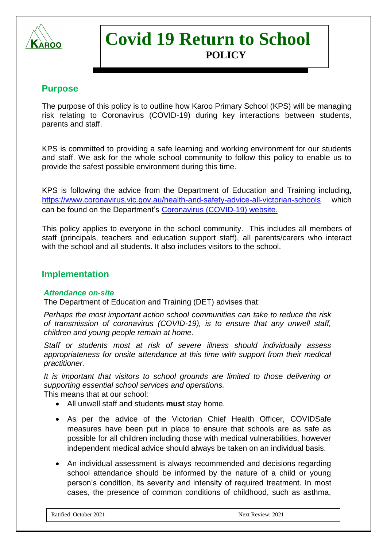

# **Covid 19 Return to School POLICY**

# **Purpose**

The purpose of this policy is to outline how Karoo Primary School (KPS) will be managing risk relating to Coronavirus (COVID-19) during key interactions between students, parents and staff.

KPS is committed to providing a safe learning and working environment for our students and staff. We ask for the whole school community to follow this policy to enable us to provide the safest possible environment during this time.

KPS is following the advice from the Department of Education and Training including, <https://www.coronavirus.vic.gov.au/health-and-safety-advice-all-victorian-schools> which can be found on the Department's [Coronavirus \(COVID-19\) website.](https://www.education.vic.gov.au/about/department/Pages/coronavirus.aspx)

This policy applies to everyone in the school community. This includes all members of staff (principals, teachers and education support staff), all parents/carers who interact with the school and all students. It also includes visitors to the school.

## **Implementation**

#### *Attendance on-site*

The Department of Education and Training (DET) advises that:

*Perhaps the most important action school communities can take to reduce the risk of transmission of coronavirus (COVID-19), is to ensure that any unwell staff, children and young people remain at home.* 

*Staff or students most at risk of severe illness should individually assess appropriateness for onsite attendance at this time with support from their medical practitioner.*

*It is important that visitors to school grounds are limited to those delivering or supporting essential school services and operations.*

This means that at our school:

- All unwell staff and students **must** stay home.
- As per the advice of the Victorian Chief Health Officer, COVIDSafe measures have been put in place to ensure that schools are as safe as possible for all children including those with medical vulnerabilities, however independent medical advice should always be taken on an individual basis.
- An individual assessment is always recommended and decisions regarding school attendance should be informed by the nature of a child or young person's condition, its severity and intensity of required treatment. In most cases, the presence of common conditions of childhood, such as asthma,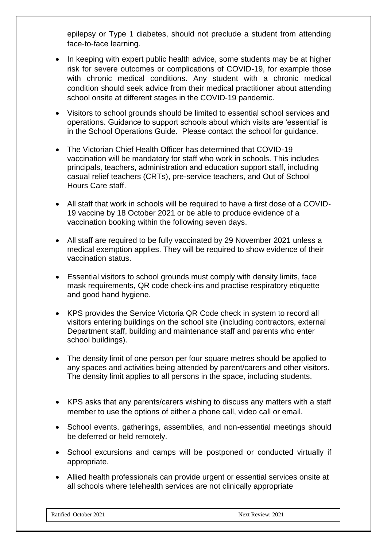epilepsy or Type 1 diabetes, should not preclude a student from attending face-to-face learning.

- In keeping with expert public health advice, some students may be at higher risk for severe outcomes or complications of COVID-19, for example those with chronic medical conditions. Any student with a chronic medical condition should seek advice from their medical practitioner about attending school onsite at different stages in the COVID-19 pandemic.
- Visitors to school grounds should be limited to essential school services and operations. Guidance to support schools about which visits are 'essential' is in the School Operations Guide. Please contact the school for guidance.
- The Victorian Chief Health Officer has determined that COVID-19 vaccination will be mandatory for staff who work in schools. This includes principals, teachers, administration and education support staff, including casual relief teachers (CRTs), pre-service teachers, and Out of School Hours Care staff.
- All staff that work in schools will be required to have a first dose of a COVID-19 vaccine by 18 October 2021 or be able to produce evidence of a vaccination booking within the following seven days.
- All staff are required to be fully vaccinated by 29 November 2021 unless a medical exemption applies. They will be required to show evidence of their vaccination status.
- Essential visitors to school grounds must comply with density limits, face mask requirements, QR code check-ins and practise respiratory etiquette and good hand hygiene.
- KPS provides the Service Victoria QR Code check in system to record all visitors entering buildings on the school site (including contractors, external Department staff, building and maintenance staff and parents who enter school buildings).
- The density limit of one person per four square metres should be applied to any spaces and activities being attended by parent/carers and other visitors. The density limit applies to all persons in the space, including students.
- KPS asks that any parents/carers wishing to discuss any matters with a staff member to use the options of either a phone call, video call or email.
- School events, gatherings, assemblies, and non-essential meetings should be deferred or held remotely.
- School excursions and camps will be postponed or conducted virtually if appropriate.
- Allied health professionals can provide urgent or essential services onsite at all schools where telehealth services are not clinically appropriate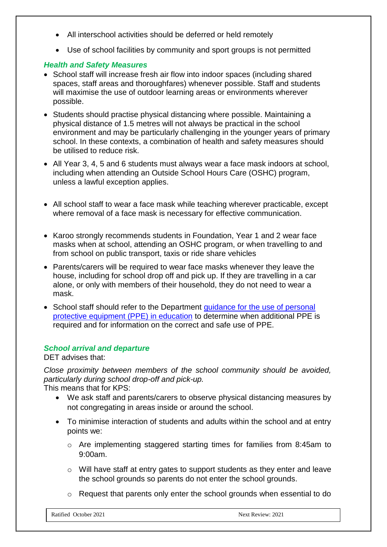- All interschool activities should be deferred or held remotely
- Use of school facilities by community and sport groups is not permitted

## *Health and Safety Measures*

- School staff will increase fresh air flow into indoor spaces (including shared spaces, staff areas and thoroughfares) whenever possible. Staff and students will maximise the use of outdoor learning areas or environments wherever possible.
- Students should practise physical distancing where possible. Maintaining a physical distance of 1.5 metres will not always be practical in the school environment and may be particularly challenging in the younger years of primary school. In these contexts, a combination of health and safety measures should be utilised to reduce risk.
- All Year 3, 4, 5 and 6 students must always wear a face mask indoors at school, including when attending an Outside School Hours Care (OSHC) program, unless a lawful exception applies.
- All school staff to wear a face mask while teaching wherever practicable, except where removal of a face mask is necessary for effective communication.
- Karoo strongly recommends students in Foundation, Year 1 and 2 wear face masks when at school, attending an OSHC program, or when travelling to and from school on public transport, taxis or ride share vehicles
- Parents/carers will be required to wear face masks whenever they leave the house, including for school drop off and pick up. If they are travelling in a car alone, or only with members of their household, they do not need to wear a mask.
- School staff should refer to the Department [guidance for the use of personal](https://edugate.eduweb.vic.gov.au/sites/i/_layouts/15/WopiFrame.aspx?sourcedoc=/sites/i/Shared%20Documents/Guidance-for-the-use-of-PPE-in-education-settings.docx&action=default)  [protective equipment \(PPE\) in education](https://edugate.eduweb.vic.gov.au/sites/i/_layouts/15/WopiFrame.aspx?sourcedoc=/sites/i/Shared%20Documents/Guidance-for-the-use-of-PPE-in-education-settings.docx&action=default) to determine when additional PPE is required and for information on the correct and safe use of PPE.

#### *School arrival and departure*

DET advises that:

*Close proximity between members of the school community should be avoided, particularly during school drop-off and pick-up.* This means that for KPS:

- We ask staff and parents/carers to observe physical distancing measures by not congregating in areas inside or around the school.
- To minimise interaction of students and adults within the school and at entry points we:
	- o Are implementing staggered starting times for families from 8:45am to 9:00am.
	- o Will have staff at entry gates to support students as they enter and leave the school grounds so parents do not enter the school grounds.
	- o Request that parents only enter the school grounds when essential to do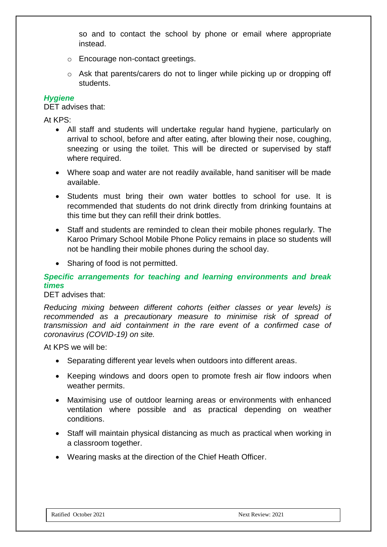so and to contact the school by phone or email where appropriate instead.

- o Encourage non-contact greetings.
- o Ask that parents/carers do not to linger while picking up or dropping off students.

#### *Hygiene*

DET advises that:

At KPS:

- All staff and students will undertake regular hand hygiene, particularly on arrival to school, before and after eating, after blowing their nose, coughing, sneezing or using the toilet. This will be directed or supervised by staff where required.
- Where soap and water are not readily available, hand sanitiser will be made available.
- Students must bring their own water bottles to school for use. It is recommended that students do not drink directly from drinking fountains at this time but they can refill their drink bottles.
- Staff and students are reminded to clean their mobile phones regularly. The Karoo Primary School Mobile Phone Policy remains in place so students will not be handling their mobile phones during the school day.
- Sharing of food is not permitted.

## *Specific arrangements for teaching and learning environments and break times*

#### DET advises that:

*Reducing mixing between different cohorts (either classes or year levels) is recommended as a precautionary measure to minimise risk of spread of transmission and aid containment in the rare event of a confirmed case of coronavirus (COVID-19) on site.*

At KPS we will be:

- Separating different year levels when outdoors into different areas.
- Keeping windows and doors open to promote fresh air flow indoors when weather permits.
- Maximising use of outdoor learning areas or environments with enhanced ventilation where possible and as practical depending on weather conditions.
- Staff will maintain physical distancing as much as practical when working in a classroom together.
- Wearing masks at the direction of the Chief Heath Officer.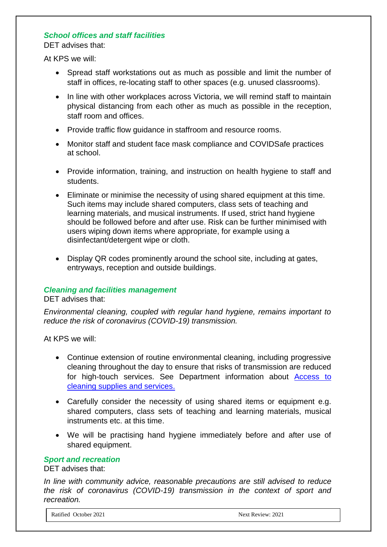## *School offices and staff facilities*

DET advises that:

At KPS we will:

- Spread staff workstations out as much as possible and limit the number of staff in offices, re-locating staff to other spaces (e.g. unused classrooms).
- In line with other workplaces across Victoria, we will remind staff to maintain physical distancing from each other as much as possible in the reception, staff room and offices.
- Provide traffic flow guidance in staffroom and resource rooms.
- Monitor staff and student face mask compliance and COVIDSafe practices at school.
- Provide information, training, and instruction on health hygiene to staff and students.
- Eliminate or minimise the necessity of using shared equipment at this time. Such items may include shared computers, class sets of teaching and learning materials, and musical instruments. If used, strict hand hygiene should be followed before and after use. Risk can be further minimised with users wiping down items where appropriate, for example using a disinfectant/detergent wipe or cloth.
- Display QR codes prominently around the school site, including at gates, entryways, reception and outside buildings.

#### *Cleaning and facilities management*

DET advises that:

*Environmental cleaning, coupled with regular hand hygiene, remains important to reduce the risk of coronavirus (COVID-19) transmission.*

At KPS we will:

- Continue extension of routine environmental cleaning, including progressive cleaning throughout the day to ensure that risks of transmission are reduced for high-touch services. See Department information about [Access to](https://www.education.vic.gov.au/school/teachers/management/infrastructure/Pages/cleaningsupplies.aspx)  [cleaning supplies and services.](https://www.education.vic.gov.au/school/teachers/management/infrastructure/Pages/cleaningsupplies.aspx)
- Carefully consider the necessity of using shared items or equipment e.g. shared computers, class sets of teaching and learning materials, musical instruments etc. at this time.
- We will be practising hand hygiene immediately before and after use of shared equipment.

#### *Sport and recreation*

DET advises that:

*In line with community advice, reasonable precautions are still advised to reduce the risk of coronavirus (COVID-19) transmission in the context of sport and recreation.*

Ratified October 2021 Next Review: 2021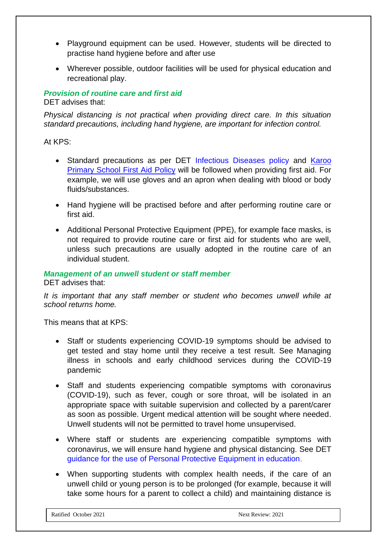- Playground equipment can be used. However, students will be directed to practise hand hygiene before and after use
- Wherever possible, outdoor facilities will be used for physical education and recreational play.

## *Provision of routine care and first aid*

DET advises that:

*Physical distancing is not practical when providing direct care. In this situation standard precautions, including hand hygiene, are important for infection control.*

## At KPS:

- Standard precautions as per DET [Infectious Diseases policy](https://www.education.vic.gov.au/school/principals/spag/health/pages/infectiousdiseases.aspx) and Karoo [Primary School First Aid Policy](https://karoops.vic.edu.au/wp-content/uploads/2021/02/First-Aid-and-arrangements-for-Ill-students.pdf) will be followed when providing first aid. For example, we will use gloves and an apron when dealing with blood or body fluids/substances.
- Hand hygiene will be practised before and after performing routine care or first aid.
- Additional Personal Protective Equipment (PPE), for example face masks, is not required to provide routine care or first aid for students who are well, unless such precautions are usually adopted in the routine care of an individual student.

## *Management of an unwell student or staff member*

DET advises that:

*It is important that any staff member or student who becomes unwell while at school returns home.* 

This means that at KPS:

- Staff or students experiencing COVID-19 symptoms should be advised to get tested and stay home until they receive a test result. See Managing illness in schools and early childhood services during the COVID-19 pandemic
- Staff and students experiencing compatible symptoms with coronavirus (COVID-19), such as fever, cough or sore throat, will be isolated in an appropriate space with suitable supervision and collected by a parent/carer as soon as possible. Urgent medical attention will be sought where needed. Unwell students will not be permitted to travel home unsupervised.
- Where staff or students are experiencing compatible symptoms with coronavirus, we will ensure hand hygiene and physical distancing. See DET [guidance for the use of Personal Protective Equipment in education.](https://edugate.eduweb.vic.gov.au/sites/i/_layouts/15/WopiFrame.aspx?sourcedoc=/sites/i/Shared%20Documents/Guidance-for-the-use-of-PPE-in-education-settings.docx&action=default)
- When supporting students with complex health needs, if the care of an unwell child or young person is to be prolonged (for example, because it will take some hours for a parent to collect a child) and maintaining distance is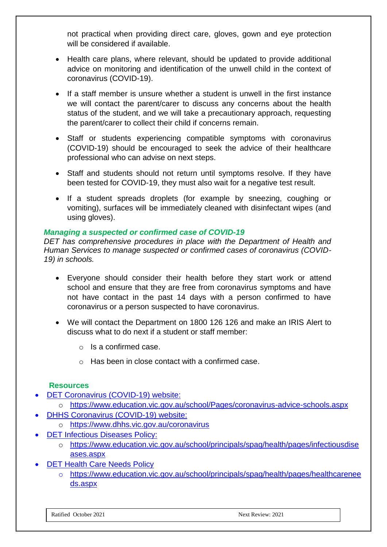not practical when providing direct care, gloves, gown and eye protection will be considered if available.

- Health care plans, where relevant, should be updated to provide additional advice on monitoring and identification of the unwell child in the context of coronavirus (COVID-19).
- If a staff member is unsure whether a student is unwell in the first instance we will contact the parent/carer to discuss any concerns about the health status of the student, and we will take a precautionary approach, requesting the parent/carer to collect their child if concerns remain.
- Staff or students experiencing compatible symptoms with coronavirus (COVID-19) should be encouraged to seek the advice of their healthcare professional who can advise on next steps.
- Staff and students should not return until symptoms resolve. If they have been tested for COVID-19, they must also wait for a negative test result.
- If a student spreads droplets (for example by sneezing, coughing or vomiting), surfaces will be immediately cleaned with disinfectant wipes (and using gloves).

## *Managing a suspected or confirmed case of COVID-19*

*DET has comprehensive procedures in place with the Department of Health and Human Services to manage suspected or confirmed cases of coronavirus (COVID-19) in schools.*

- Everyone should consider their health before they start work or attend school and ensure that they are free from coronavirus symptoms and have not have contact in the past 14 days with a person confirmed to have coronavirus or a person suspected to have coronavirus.
- We will contact the Department on 1800 126 126 and make an IRIS Alert to discuss what to do next if a student or staff member:
	- o Is a confirmed case.
	- o Has been in close contact with a confirmed case.

#### **Resources**

- [DET Coronavirus \(COVID-19\) website:](https://education.vic.gov.au/about/department/Pages/coronavirus.aspx)
	- o <https://www.education.vic.gov.au/school/Pages/coronavirus-advice-schools.aspx>
- **[DHHS Coronavirus \(COVID-19\) website:](https://www.dhhs.vic.gov.au/coronavirus)** 
	- o <https://www.dhhs.vic.gov.au/coronavirus>
- **[DET Infectious Diseases Policy:](https://www.education.vic.gov.au/school/principals/spag/health/pages/infectiousdiseases.aspx)** 
	- o [https://www.education.vic.gov.au/school/principals/spag/health/pages/infectiousdise](https://www.education.vic.gov.au/school/principals/spag/health/pages/infectiousdiseases.aspx) [ases.aspx](https://www.education.vic.gov.au/school/principals/spag/health/pages/infectiousdiseases.aspx)
- **[DET Health Care Needs Policy](https://www.education.vic.gov.au/school/principals/spag/health/pages/healthcareneeds.aspx)** 
	- o [https://www.education.vic.gov.au/school/principals/spag/health/pages/healthcarenee](https://www.education.vic.gov.au/school/principals/spag/health/pages/healthcareneeds.aspx) [ds.aspx](https://www.education.vic.gov.au/school/principals/spag/health/pages/healthcareneeds.aspx)

Ratified October 2021 Next Review: 2021